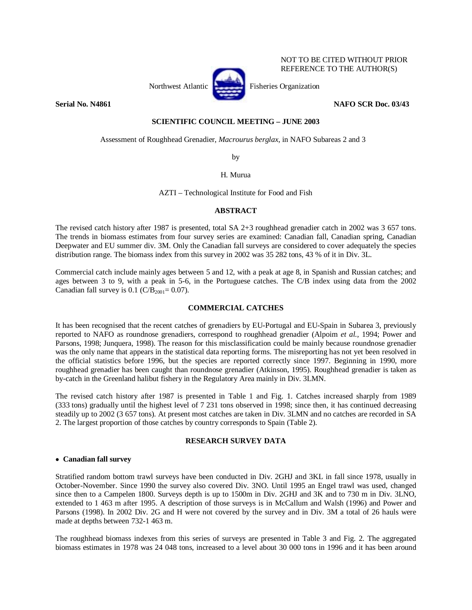

NOT TO BE CITED WITHOUT PRIOR REFERENCE TO THE AUTHOR(S)

# **Serial No. N4861 NAFO SCR Doc. 03/43**

# **SCIENTIFIC COUNCIL MEETING – JUNE 2003**

Assessment of Roughhead Grenadier, *Macrourus berglax*, in NAFO Subareas 2 and 3

by

H. Murua

AZTI – Technological Institute for Food and Fish

# **ABSTRACT**

The revised catch history after 1987 is presented, total SA 2+3 roughhead grenadier catch in 2002 was 3 657 tons. The trends in biomass estimates from four survey series are examined: Canadian fall, Canadian spring, Canadian Deepwater and EU summer div. 3M. Only the Canadian fall surveys are considered to cover adequately the species distribution range. The biomass index from this survey in 2002 was 35 282 tons, 43 % of it in Div. 3L.

Commercial catch include mainly ages between 5 and 12, with a peak at age 8, in Spanish and Russian catches; and ages between 3 to 9, with a peak in 5-6, in the Portuguese catches. The C/B index using data from the 2002 Canadian fall survey is  $0.1$  (C/B<sub>2001</sub> = 0.07).

# **COMMERCIAL CATCHES**

It has been recognised that the recent catches of grenadiers by EU-Portugal and EU-Spain in Subarea 3, previously reported to NAFO as roundnose grenadiers, correspond to roughhead grenadier (Alpoim *et al.,* 1994; Power and Parsons, 1998; Junquera, 1998). The reason for this misclassification could be mainly because roundnose grenadier was the only name that appears in the statistical data reporting forms. The misreporting has not yet been resolved in the official statistics before 1996, but the species are reported correctly since 1997. Beginning in 1990, more roughhead grenadier has been caught than roundnose grenadier (Atkinson, 1995). Roughhead grenadier is taken as by-catch in the Greenland halibut fishery in the Regulatory Area mainly in Div. 3LMN.

The revised catch history after 1987 is presented in Table 1 and Fig. 1. Catches increased sharply from 1989 (333 tons) gradually until the highest level of 7 231 tons observed in 1998; since then, it has continued decreasing steadily up to 2002 (3 657 tons). At present most catches are taken in Div. 3LMN and no catches are recorded in SA 2. The largest proportion of those catches by country corresponds to Spain (Table 2).

# **RESEARCH SURVEY DATA**

# • **Canadian fall survey**

Stratified random bottom trawl surveys have been conducted in Div. 2GHJ and 3KL in fall since 1978, usually in October-November. Since 1990 the survey also covered Div. 3NO. Until 1995 an Engel trawl was used, changed since then to a Campelen 1800. Surveys depth is up to 1500m in Div. 2GHJ and 3K and to 730 m in Div. 3LNO, extended to 1 463 m after 1995. A description of those surveys is in McCallum and Walsh (1996) and Power and Parsons (1998). In 2002 Div. 2G and H were not covered by the survey and in Div. 3M a total of 26 hauls were made at depths between 732-1 463 m.

The roughhead biomass indexes from this series of surveys are presented in Table 3 and Fig. 2. The aggregated biomass estimates in 1978 was 24 048 tons, increased to a level about 30 000 tons in 1996 and it has been around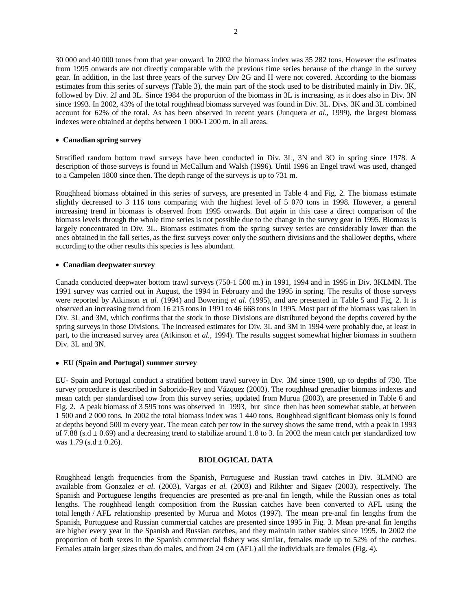30 000 and 40 000 tones from that year onward. In 2002 the biomass index was 35 282 tons. However the estimates from 1995 onwards are not directly comparable with the previous time series because of the change in the survey gear. In addition, in the last three years of the survey Div 2G and H were not covered. According to the biomass estimates from this series of surveys (Table 3), the main part of the stock used to be distributed mainly in Div. 3K, followed by Div. 2J and 3L. Since 1984 the proportion of the biomass in 3L is increasing, as it does also in Div. 3N since 1993. In 2002, 43% of the total roughhead biomass surveyed was found in Div. 3L. Divs. 3K and 3L combined account for 62% of the total. As has been observed in recent years (Junquera *et al*., 1999), the largest biomass indexes were obtained at depths between 1 000-1 200 m. in all areas.

### • **Canadian spring survey**

Stratified random bottom trawl surveys have been conducted in Div. 3L, 3N and 3O in spring since 1978. A description of those surveys is found in McCallum and Walsh (1996). Until 1996 an Engel trawl was used, changed to a Campelen 1800 since then. The depth range of the surveys is up to 731 m.

Roughhead biomass obtained in this series of surveys, are presented in Table 4 and Fig. 2. The biomass estimate slightly decreased to 3 116 tons comparing with the highest level of 5 070 tons in 1998. However, a general increasing trend in biomass is observed from 1995 onwards. But again in this case a direct comparison of the biomass levels through the whole time series is not possible due to the change in the survey gear in 1995. Biomass is largely concentrated in Div. 3L. Biomass estimates from the spring survey series are considerably lower than the ones obtained in the fall series, as the first surveys cover only the southern divisions and the shallower depths, where according to the other results this species is less abundant.

# • **Canadian deepwater survey**

Canada conducted deepwater bottom trawl surveys (750-1 500 m.) in 1991, 1994 and in 1995 in Div. 3KLMN. The 1991 survey was carried out in August, the 1994 in February and the 1995 in spring. The results of those surveys were reported by Atkinson *et al.* (1994) and Bowering *et al.* (1995), and are presented in Table 5 and Fig, 2. It is observed an increasing trend from 16 215 tons in 1991 to 46 668 tons in 1995. Most part of the biomass was taken in Div. 3L and 3M, which confirms that the stock in those Divisions are distributed beyond the depths covered by the spring surveys in those Divisions. The increased estimates for Div. 3L and 3M in 1994 were probably due, at least in part, to the increased survey area (Atkinson *et al.*, 1994). The results suggest somewhat higher biomass in southern Div. 3L and 3N.

## • **EU (Spain and Portugal) summer survey**

EU- Spain and Portugal conduct a stratified bottom trawl survey in Div. 3M since 1988, up to depths of 730. The survey procedure is described in Saborido-Rey and Vázquez (2003). The roughhead grenadier biomass indexes and mean catch per standardised tow from this survey series, updated from Murua (2003), are presented in Table 6 and Fig. 2. A peak biomass of 3 595 tons was observed in 1993, but since then has been somewhat stable, at between 1 500 and 2 000 tons. In 2002 the total biomass index was 1 440 tons. Roughhead significant biomass only is found at depths beyond 500 m every year. The mean catch per tow in the survey shows the same trend, with a peak in 1993 of 7.88 (s.d  $\pm$  0.69) and a decreasing trend to stabilize around 1.8 to 3. In 2002 the mean catch per standardized tow was  $1.79$  (s.d  $\pm$  0.26).

# **BIOLOGICAL DATA**

Roughhead length frequencies from the Spanish, Portuguese and Russian trawl catches in Div. 3LMNO are available from Gonzalez *et al.* (2003), Vargas *et al.* (2003) and Rikhter and Sigaev (2003), respectively. The Spanish and Portuguese lengths frequencies are presented as pre-anal fin length, while the Russian ones as total lengths. The roughhead length composition from the Russian catches have been converted to AFL using the total length / AFL relationship presented by Murua and Motos (1997). The mean pre-anal fin lengths from the Spanish, Portuguese and Russian commercial catches are presented since 1995 in Fig. 3. Mean pre-anal fin lengths are higher every year in the Spanish and Russian catches, and they maintain rather stables since 1995. In 2002 the proportion of both sexes in the Spanish commercial fishery was similar, females made up to 52% of the catches. Females attain larger sizes than do males, and from 24 cm (AFL) all the individuals are females (Fig. 4).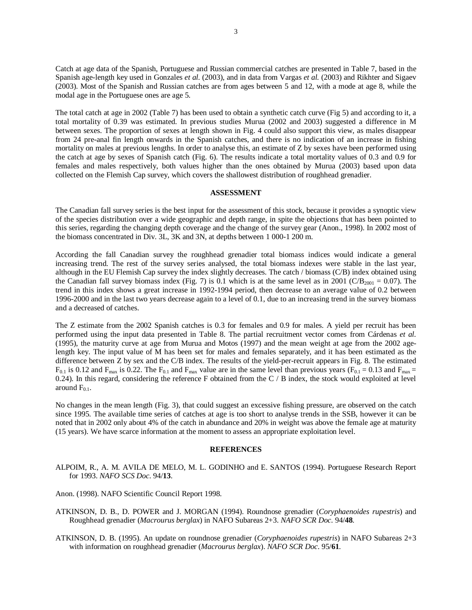Catch at age data of the Spanish, Portuguese and Russian commercial catches are presented in Table 7, based in the Spanish age-length key used in Gonzales *et al.* (2003), and in data from Vargas *et al.* (2003) and Rikhter and Sigaev (2003). Most of the Spanish and Russian catches are from ages between 5 and 12, with a mode at age 8, while the modal age in the Portuguese ones are age 5.

The total catch at age in 2002 (Table 7) has been used to obtain a synthetic catch curve (Fig 5) and according to it, a total mortality of 0.39 was estimated. In previous studies Murua (2002 and 2003) suggested a difference in M between sexes. The proportion of sexes at length shown in Fig. 4 could also support this view, as males disappear from 24 pre-anal fin length onwards in the Spanish catches, and there is no indication of an increase in fishing mortality on males at previous lengths. In order to analyse this, an estimate of Z by sexes have been performed using the catch at age by sexes of Spanish catch (Fig. 6). The results indicate a total mortality values of 0.3 and 0.9 for females and males respectively, both values higher than the ones obtained by Murua (2003) based upon data collected on the Flemish Cap survey, which covers the shallowest distribution of roughhead grenadier.

#### **ASSESSMENT**

The Canadian fall survey series is the best input for the assessment of this stock, because it provides a synoptic view of the species distribution over a wide geographic and depth range, in spite the objections that has been pointed to this series, regarding the changing depth coverage and the change of the survey gear (Anon., 1998). In 2002 most of the biomass concentrated in Div. 3L, 3K and 3N, at depths between 1 000-1 200 m.

According the fall Canadian survey the roughhead grenadier total biomass indices would indicate a general increasing trend. The rest of the survey series analysed, the total biomass indexes were stable in the last year, although in the EU Flemish Cap survey the index slightly decreases. The catch / biomass (C/B) index obtained using the Canadian fall survey biomass index (Fig. 7) is 0.1 which is at the same level as in 2001 ( $C/B_{2001} = 0.07$ ). The trend in this index shows a great increase in 1992-1994 period, then decrease to an average value of 0.2 between 1996-2000 and in the last two years decrease again to a level of 0.1, due to an increasing trend in the survey biomass and a decreased of catches.

The Z estimate from the 2002 Spanish catches is 0.3 for females and 0.9 for males. A yield per recruit has been performed using the input data presented in Table 8. The partial recruitment vector comes from Cárdenas *et al.* (1995), the maturity curve at age from Murua and Motos (1997) and the mean weight at age from the 2002 agelength key. The input value of M has been set for males and females separately, and it has been estimated as the difference between Z by sex and the C/B index. The results of the yield-per-recruit appears in Fig. 8. The estimated  $F_{0.1}$  is 0.12 and  $F_{\text{max}}$  is 0.22. The  $F_{0.1}$  and  $F_{\text{max}}$  value are in the same level than previous years ( $F_{0.1} = 0.13$  and  $F_{\text{max}} =$ 0.24). In this regard, considering the reference F obtained from the C / B index, the stock would exploited at level around  $F_{0.1}$ .

No changes in the mean length (Fig. 3), that could suggest an excessive fishing pressure, are observed on the catch since 1995. The available time series of catches at age is too short to analyse trends in the SSB, however it can be noted that in 2002 only about 4% of the catch in abundance and 20% in weight was above the female age at maturity (15 years). We have scarce information at the moment to assess an appropriate exploitation level.

# **REFERENCES**

ALPOIM, R., A. M. AVILA DE MELO, M. L. GODINHO and E. SANTOS (1994). Portuguese Research Report for 1993. *NAFO SCS Doc*. 94/**13**.

Anon. (1998). NAFO Scientific Council Report 1998.

- ATKINSON, D. B., D. POWER and J. MORGAN (1994). Roundnose grenadier (*Coryphaenoides rupestris*) and Roughhead grenadier (*Macrourus berglax*) in NAFO Subareas 2+3. *NAFO SCR Doc.* 94/**48**.
- ATKINSON, D. B. (1995). An update on roundnose grenadier (*Coryphaenoides rupestris*) in NAFO Subareas 2+3 with information on roughhead grenadier (*Macrourus berglax*). *NAFO SCR Doc*. 95/**61**.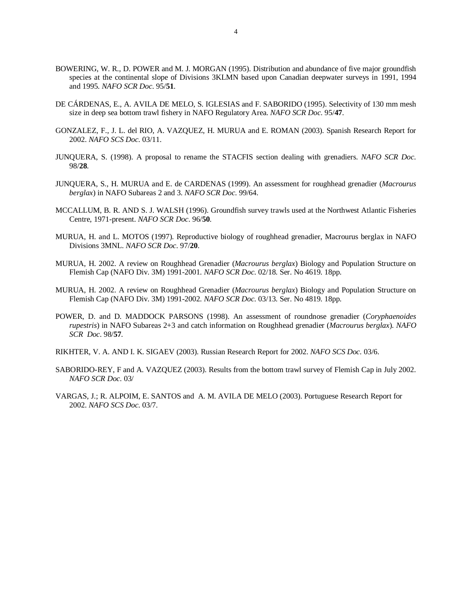- BOWERING, W. R., D. POWER and M. J. MORGAN (1995). Distribution and abundance of five major groundfish species at the continental slope of Divisions 3KLMN based upon Canadian deepwater surveys in 1991, 1994 and 1995. *NAFO SCR Doc*. 95/**51**.
- DE CÁRDENAS, E., A. AVILA DE MELO, S. IGLESIAS and F. SABORIDO (1995). Selectivity of 130 mm mesh size in deep sea bottom trawl fishery in NAFO Regulatory Area. *NAFO SCR Doc*. 95/**47**.
- GONZALEZ, F., J. L. del RIO, A. VAZQUEZ, H. MURUA and E. ROMAN (2003). Spanish Research Report for 2002. *NAFO SCS Doc*. 03/11.
- JUNQUERA, S. (1998). A proposal to rename the STACFIS section dealing with grenadiers. *NAFO SCR Doc*. 98/**28**.
- JUNQUERA, S., H. MURUA and E. de CARDENAS (1999). An assessment for roughhead grenadier (*Macrourus berglax*) in NAFO Subareas 2 and 3. *NAFO SCR Doc*. 99/64.
- MCCALLUM, B. R. AND S. J. WALSH (1996). Groundfish survey trawls used at the Northwest Atlantic Fisheries Centre, 1971-present. *NAFO SCR Doc*. 96/**50**.
- MURUA, H. and L. MOTOS (1997). Reproductive biology of roughhead grenadier, Macrourus berglax in NAFO Divisions 3MNL. *NAFO SCR Doc*. 97/**20**.
- MURUA, H. 2002. A review on Roughhead Grenadier (*Macrourus berglax*) Biology and Population Structure on Flemish Cap (NAFO Div. 3M) 1991-2001. *NAFO SCR Doc*. 02/18. Ser. No 4619. 18pp.
- MURUA, H. 2002. A review on Roughhead Grenadier (*Macrourus berglax*) Biology and Population Structure on Flemish Cap (NAFO Div. 3M) 1991-2002. *NAFO SCR Doc*. 03/13. Ser. No 4819. 18pp.
- POWER, D. and D. MADDOCK PARSONS (1998). An assessment of roundnose grenadier (*Coryphaenoides rupestris*) in NAFO Subareas 2+3 and catch information on Roughhead grenadier (*Macrourus berglax*). *NAFO SCR Doc*. 98/**57**.
- RIKHTER, V. A. AND I. K. SIGAEV (2003). Russian Research Report for 2002. *NAFO SCS Doc.* 03/6.
- SABORIDO-REY, F and A. VAZQUEZ (2003). Results from the bottom trawl survey of Flemish Cap in July 2002. *NAFO SCR Doc*. 03/
- VARGAS, J.; R. ALPOIM, E. SANTOS and A. M. AVILA DE MELO (2003). Portuguese Research Report for 2002. *NAFO SCS Doc*. 03/7.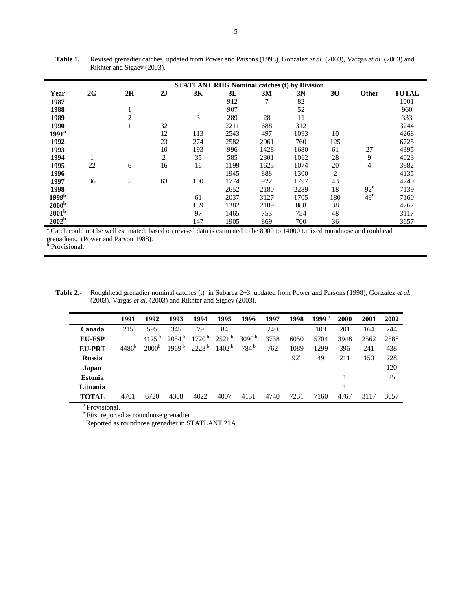|                   | <b>STATLANT RHG Nominal catches (t) by Division</b> |                                                                                                                          |    |     |      |      |      |     |                 |              |
|-------------------|-----------------------------------------------------|--------------------------------------------------------------------------------------------------------------------------|----|-----|------|------|------|-----|-----------------|--------------|
| Year              | 2G                                                  | 2H                                                                                                                       | 2J | 3K  | 3L   | 3M   | 3N   | 30  | <b>Other</b>    | <b>TOTAL</b> |
| 1987              |                                                     |                                                                                                                          |    |     | 912  | 7    | 82   |     |                 | 1001         |
| 1988              |                                                     |                                                                                                                          |    |     | 907  |      | 52   |     |                 | 960          |
| 1989              |                                                     | $\overline{c}$                                                                                                           |    | 3   | 289  | 28   | 11   |     |                 | 333          |
| 1990              |                                                     |                                                                                                                          | 32 |     | 2211 | 688  | 312  |     |                 | 3244         |
| $1991^{\rm a}$    |                                                     |                                                                                                                          | 12 | 113 | 2543 | 497  | 1093 | 10  |                 | 4268         |
| 1992              |                                                     |                                                                                                                          | 23 | 274 | 2582 | 2961 | 760  | 125 |                 | 6725         |
| 1993              |                                                     |                                                                                                                          | 10 | 193 | 996  | 1428 | 1680 | 61  | 27              | 4395         |
| 1994              |                                                     |                                                                                                                          | 2  | 35  | 585  | 2301 | 1062 | 28  | 9               | 4023         |
| 1995              | 22                                                  | 6                                                                                                                        | 16 | 16  | 1199 | 1625 | 1074 | 20  | 4               | 3982         |
| 1996              |                                                     |                                                                                                                          |    |     | 1945 | 888  | 1300 | 2   |                 | 4135         |
| 1997              | 36                                                  | 5                                                                                                                        | 63 | 100 | 1774 | 922  | 1797 | 43  |                 | 4740         |
| 1998              |                                                     |                                                                                                                          |    |     | 2652 | 2180 | 2289 | 18  | $92^{\circ}$    | 7139         |
| 1999 <sup>b</sup> |                                                     |                                                                                                                          |    | 61  | 2037 | 3127 | 1705 | 180 | 49 <sup>c</sup> | 7160         |
| 2000 <sup>b</sup> |                                                     |                                                                                                                          |    | 139 | 1382 | 2109 | 888  | 38  |                 | 4767         |
| 2001 <sup>b</sup> |                                                     |                                                                                                                          |    | 97  | 1465 | 753  | 754  | 48  |                 | 3117         |
| 2002 <sup>b</sup> |                                                     |                                                                                                                          |    | 147 | 1905 | 869  | 700  | 36  |                 | 3657         |
|                   |                                                     | Catch could not be well estimated; based on revised data is estimated to be 8000 to 14000 t.mixed roundnose and rouhhead |    |     |      |      |      |     |                 |              |

**Table 1.** Revised grenadier catches, updated from Power and Parsons (1998), Gonzalez *et al.* (2003), Vargas *et al.* (2003) and Rikhter and Sigaev (2003).

grenadiers. (Power and Parson 1988). b Provisional.

**Table 2.-** Roughhead grenadier nominal catches (t) in Subarea 2+3, updated from Power and Parsons (1998), Gonzalez *et al.*  (2003), Vargas *et al.* (2003) and Rikhter and Sigaev (2003).

|                | 1991     | 1992                | 1993                | 1994                | 1995              | 1996              | 1997 | 1998         | 1999 <sup>a</sup> | 2000 | 2001 | 2002 |
|----------------|----------|---------------------|---------------------|---------------------|-------------------|-------------------|------|--------------|-------------------|------|------|------|
| Canada         | 215      | 595                 | 345                 | 79                  | 84                |                   | 240  |              | 108               | 201  | 164  | 244  |
| <b>EU-ESP</b>  |          | $4125^{\mathrm{b}}$ | $2054^{\mathrm{b}}$ | $1720^{\mathrm{b}}$ | $2521^{\circ}$    | 3090 <sup>b</sup> | 3738 | 6050         | 5704              | 3948 | 2562 | 2588 |
| <b>EU-PRT</b>  | $4486^b$ | 2000 <sup>b</sup>   | 1969 <sup>b</sup>   | $2223^{\mathrm{b}}$ | 1402 <sup>b</sup> | $784^{\rm b}$     | 762  | 1089         | 1299              | 396  | 241  | 438  |
| <b>Russia</b>  |          |                     |                     |                     |                   |                   |      | $92^{\circ}$ | 49                | 211  | 150  | 228  |
| Japan          |          |                     |                     |                     |                   |                   |      |              |                   |      |      | 120  |
| <b>Estonia</b> |          |                     |                     |                     |                   |                   |      |              |                   |      |      | 25   |
| Lituania       |          |                     |                     |                     |                   |                   |      |              |                   |      |      |      |
| <b>TOTAL</b>   | 4701     | 6720                | 4368                | 4022                | 4007              | 4131              | 4740 | 7231         | 7160              | 4767 | 3117 | 3657 |

<sup>a</sup> Provisional.

b First reported as roundnose grenadier

c Reported as roundnose grenadier in STATLANT 21A.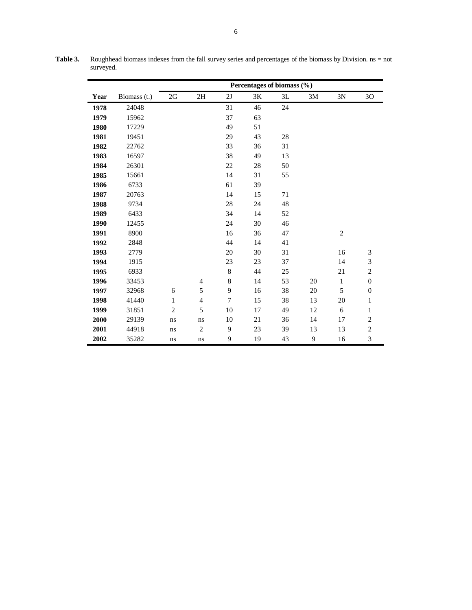|      |              | Percentages of biomass (%) |                |              |    |    |               |                  |                  |  |
|------|--------------|----------------------------|----------------|--------------|----|----|---------------|------------------|------------------|--|
| Year | Biomass (t.) | $2{\rm G}$                 | $2\mathrm{H}$  | 2J           | 3K | 3L | $3\mathrm{M}$ | $3N$             | 3O               |  |
| 1978 | 24048        |                            |                | 31           | 46 | 24 |               |                  |                  |  |
| 1979 | 15962        |                            |                | 37           | 63 |    |               |                  |                  |  |
| 1980 | 17229        |                            |                | 49           | 51 |    |               |                  |                  |  |
| 1981 | 19451        |                            |                | 29           | 43 | 28 |               |                  |                  |  |
| 1982 | 22762        |                            |                | 33           | 36 | 31 |               |                  |                  |  |
| 1983 | 16597        |                            |                | 38           | 49 | 13 |               |                  |                  |  |
| 1984 | 26301        |                            |                | 22           | 28 | 50 |               |                  |                  |  |
| 1985 | 15661        |                            |                | 14           | 31 | 55 |               |                  |                  |  |
| 1986 | 6733         |                            |                | 61           | 39 |    |               |                  |                  |  |
| 1987 | 20763        |                            |                | 14           | 15 | 71 |               |                  |                  |  |
| 1988 | 9734         |                            |                | 28           | 24 | 48 |               |                  |                  |  |
| 1989 | 6433         |                            |                | 34           | 14 | 52 |               |                  |                  |  |
| 1990 | 12455        |                            |                | 24           | 30 | 46 |               |                  |                  |  |
| 1991 | 8900         |                            |                | 16           | 36 | 47 |               | $\boldsymbol{2}$ |                  |  |
| 1992 | 2848         |                            |                | 44           | 14 | 41 |               |                  |                  |  |
| 1993 | 2779         |                            |                | 20           | 30 | 31 |               | 16               | 3                |  |
| 1994 | 1915         |                            |                | 23           | 23 | 37 |               | 14               | 3                |  |
| 1995 | 6933         |                            |                | $\,8\,$      | 44 | 25 |               | 21               | $\overline{c}$   |  |
| 1996 | 33453        |                            | $\overline{4}$ | $\,8\,$      | 14 | 53 | 20            | $\,1$            | $\boldsymbol{0}$ |  |
| 1997 | 32968        | 6                          | 5              | $\mathbf{9}$ | 16 | 38 | 20            | 5                | $\boldsymbol{0}$ |  |
| 1998 | 41440        | $\mathbf{1}$               | $\overline{4}$ | $\tau$       | 15 | 38 | 13            | 20               | $\mathbf{1}$     |  |
| 1999 | 31851        | $\mathfrak{2}$             | 5              | 10           | 17 | 49 | 12            | $\epsilon$       | $\mathbf{1}$     |  |
| 2000 | 29139        | ns                         | ns             | 10           | 21 | 36 | 14            | 17               | $\mathbf{2}$     |  |
| 2001 | 44918        | ns                         | $\mathfrak{2}$ | 9            | 23 | 39 | 13            | 13               | $\overline{c}$   |  |
| 2002 | 35282        | ns                         | ns             | 9            | 19 | 43 | 9             | 16               | 3                |  |

**Table 3.** Roughhead biomass indexes from the fall survey series and percentages of the biomass by Division. ns = not surveyed.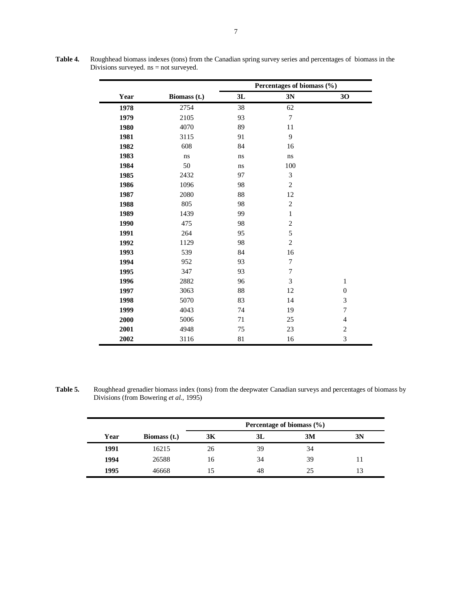|      |              | Percentages of biomass (%) |                  |                  |  |  |
|------|--------------|----------------------------|------------------|------------------|--|--|
| Year | Biomass (t.) | 3L                         | 3N               | 30               |  |  |
| 1978 | 2754         | 38                         | 62               |                  |  |  |
| 1979 | 2105         | 93                         | $\boldsymbol{7}$ |                  |  |  |
| 1980 | 4070         | 89                         | 11               |                  |  |  |
| 1981 | 3115         | 91                         | 9                |                  |  |  |
| 1982 | 608          | 84                         | 16               |                  |  |  |
| 1983 | ns           | ns                         | ns               |                  |  |  |
| 1984 | 50           | $\rm ns$                   | 100              |                  |  |  |
| 1985 | 2432         | 97                         | 3                |                  |  |  |
| 1986 | 1096         | 98                         | $\mathfrak{2}$   |                  |  |  |
| 1987 | 2080         | 88                         | 12               |                  |  |  |
| 1988 | 805          | 98                         | $\sqrt{2}$       |                  |  |  |
| 1989 | 1439         | 99                         | $\,1$            |                  |  |  |
| 1990 | 475          | 98                         | $\mathfrak{2}$   |                  |  |  |
| 1991 | 264          | 95                         | 5                |                  |  |  |
| 1992 | 1129         | 98                         | $\sqrt{2}$       |                  |  |  |
| 1993 | 539          | 84                         | 16               |                  |  |  |
| 1994 | 952          | 93                         | $\tau$           |                  |  |  |
| 1995 | 347          | 93                         | 7                |                  |  |  |
| 1996 | 2882         | 96                         | 3                | $\mathbf{1}$     |  |  |
| 1997 | 3063         | 88                         | 12               | $\boldsymbol{0}$ |  |  |
| 1998 | 5070         | 83                         | 14               | 3                |  |  |
| 1999 | 4043         | 74                         | 19               | 7                |  |  |
| 2000 | 5006         | 71                         | 25               | $\overline{4}$   |  |  |
| 2001 | 4948         | 75                         | 23               | $\sqrt{2}$       |  |  |
| 2002 | 3116         | 81                         | 16               | 3                |  |  |

**Table 4.** Roughhead biomass indexes (tons) from the Canadian spring survey series and percentages of biomass in the Divisions surveyed. ns = not surveyed.

**Table 5.** Roughhead grenadier biomass index (tons) from the deepwater Canadian surveys and percentages of biomass by Divisions (from Bowering *et al.,* 1995)

|      |                     | Percentage of biomass $(\% )$ |    |    |    |  |  |
|------|---------------------|-------------------------------|----|----|----|--|--|
| Year | <b>Biomass</b> (t.) | 3K                            | 3L | 3M | 3N |  |  |
| 1991 | 16215               | 26                            | 39 | 34 |    |  |  |
| 1994 | 26588               | 16                            | 34 | 39 |    |  |  |
| 1995 | 46668               | 15                            | 48 | 25 | 13 |  |  |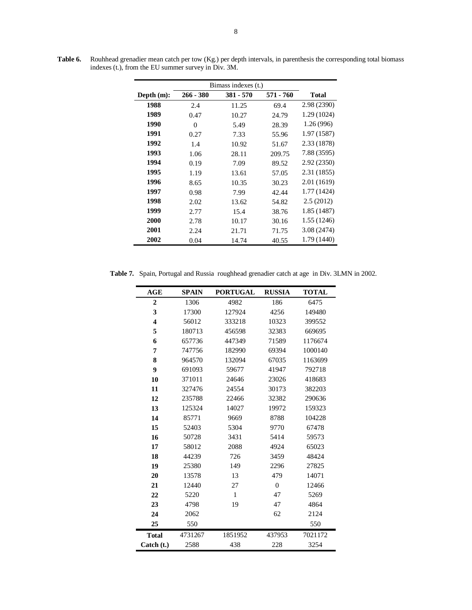|               | Bimass indexes (t.) |           |           |              |
|---------------|---------------------|-----------|-----------|--------------|
| Depth $(m)$ : | $266 - 380$         | 381 - 570 | 571 - 760 | <b>Total</b> |
| 1988          | 2.4                 | 11.25     | 69.4      | 2.98 (2390)  |
| 1989          | 0.47                | 10.27     | 24.79     | 1.29 (1024)  |
| 1990          | $\Omega$            | 5.49      | 28.39     | 1.26 (996)   |
| 1991          | 0.27                | 7.33      | 55.96     | 1.97(1587)   |
| 1992          | 1.4                 | 10.92     | 51.67     | 2.33 (1878)  |
| 1993          | 1.06                | 28.11     | 209.75    | 7.88 (3595)  |
| 1994          | 0.19                | 7.09      | 89.52     | 2.92 (2350)  |
| 1995          | 1.19                | 13.61     | 57.05     | 2.31 (1855)  |
| 1996          | 8.65                | 10.35     | 30.23     | 2.01(1619)   |
| 1997          | 0.98                | 7.99      | 42.44     | 1.77 (1424)  |
| 1998          | 2.02                | 13.62     | 54.82     | 2.5(2012)    |
| 1999          | 2.77                | 15.4      | 38.76     | 1.85 (1487)  |
| 2000          | 2.78                | 10.17     | 30.16     | 1.55 (1246)  |
| 2001          | 2.24                | 21.71     | 71.75     | 3.08 (2474)  |
| 2002          | 0.04                | 14.74     | 40.55     | 1.79 (1440)  |

**Table 6.** Rouhhead grenadier mean catch per tow (Kg.) per depth intervals, in parenthesis the corresponding total biomass indexes (t.), from the EU summer survey in Div. 3M.

**Table 7.** Spain, Portugal and Russia roughhead grenadier catch at age in Div. 3LMN in 2002.

| AGE                     | <b>SPAIN</b> | <b>PORTUGAL</b> | <b>RUSSIA</b> | <b>TOTAL</b> |
|-------------------------|--------------|-----------------|---------------|--------------|
| $\overline{2}$          | 1306         | 4982            | 186           | 6475         |
| 3                       | 17300        | 127924          | 4256          | 149480       |
| $\overline{\mathbf{4}}$ | 56012        | 333218          | 10323         | 399552       |
| 5                       | 180713       | 456598          | 32383         | 669695       |
| 6                       | 657736       | 447349          | 71589         | 1176674      |
| 7                       | 747756       | 182990          | 69394         | 1000140      |
| 8                       | 964570       | 132094          | 67035         | 1163699      |
| 9                       | 691093       | 59677           | 41947         | 792718       |
| 10                      | 371011       | 24646           | 23026         | 418683       |
| 11                      | 327476       | 24554           | 30173         | 382203       |
| 12                      | 235788       | 22466           | 32382         | 290636       |
| 13                      | 125324       | 14027           | 19972         | 159323       |
| 14                      | 85771        | 9669            | 8788          | 104228       |
| 15                      | 52403        | 5304            | 9770          | 67478        |
| 16                      | 50728        | 3431            | 5414          | 59573        |
| 17                      | 58012        | 2088            | 4924          | 65023        |
| 18                      | 44239        | 726             | 3459          | 48424        |
| 19                      | 25380        | 149             | 2296          | 27825        |
| 20                      | 13578        | 13              | 479           | 14071        |
| 21                      | 12440        | 27              | $\theta$      | 12466        |
| 22                      | 5220         | $\mathbf{1}$    | 47            | 5269         |
| 23                      | 4798         | 19              | 47            | 4864         |
| 24                      | 2062         |                 | 62            | 2124         |
| 25                      | 550          |                 |               | 550          |
| <b>Total</b>            | 4731267      | 1851952         | 437953        | 7021172      |
| Catch (t.)              | 2588         | 438             | 228           | 3254         |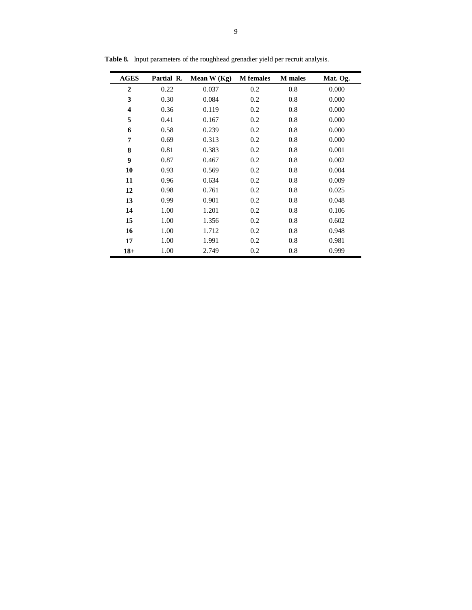| <b>AGES</b>             | Partial R. | Mean $W(Kg)$ | <b>M</b> females | <b>M</b> males | Mat. Og. |
|-------------------------|------------|--------------|------------------|----------------|----------|
| $\overline{2}$          | 0.22       | 0.037        | 0.2              | 0.8            | 0.000    |
| 3                       | 0.30       | 0.084        | 0.2              | 0.8            | 0.000    |
| $\overline{\mathbf{4}}$ | 0.36       | 0.119        | 0.2              | 0.8            | 0.000    |
| 5                       | 0.41       | 0.167        | 0.2              | 0.8            | 0.000    |
| 6                       | 0.58       | 0.239        | 0.2              | 0.8            | 0.000    |
| 7                       | 0.69       | 0.313        | 0.2              | 0.8            | 0.000    |
| 8                       | 0.81       | 0.383        | 0.2              | 0.8            | 0.001    |
| $\boldsymbol{9}$        | 0.87       | 0.467        | 0.2              | 0.8            | 0.002    |
| 10                      | 0.93       | 0.569        | 0.2              | 0.8            | 0.004    |
| 11                      | 0.96       | 0.634        | 0.2              | 0.8            | 0.009    |
| 12                      | 0.98       | 0.761        | 0.2              | 0.8            | 0.025    |
| 13                      | 0.99       | 0.901        | 0.2              | 0.8            | 0.048    |
| 14                      | 1.00       | 1.201        | 0.2              | 0.8            | 0.106    |
| 15                      | 1.00       | 1.356        | 0.2              | 0.8            | 0.602    |
| 16                      | 1.00       | 1.712        | 0.2              | 0.8            | 0.948    |
| 17                      | 1.00       | 1.991        | 0.2              | 0.8            | 0.981    |
| $18+$                   | 1.00       | 2.749        | 0.2              | 0.8            | 0.999    |

**Table 8.** Input parameters of the roughhead grenadier yield per recruit analysis.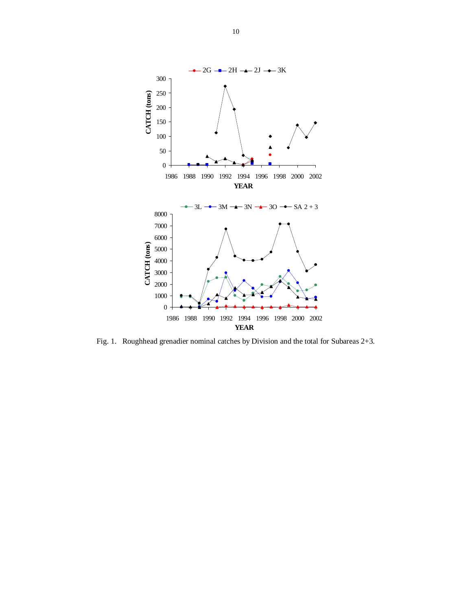

Fig. 1.Roughhead grenadier nominal catches by Division and the total for Subareas 2+3.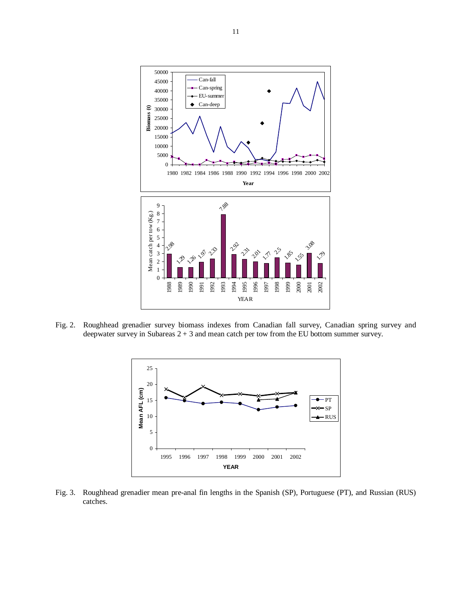

Fig. 2. Roughhead grenadier survey biomass indexes from Canadian fall survey, Canadian spring survey and deepwater survey in Subareas 2 + 3 and mean catch per tow from the EU bottom summer survey.



Fig. 3. Roughhead grenadier mean pre-anal fin lengths in the Spanish (SP), Portuguese (PT), and Russian (RUS) catches.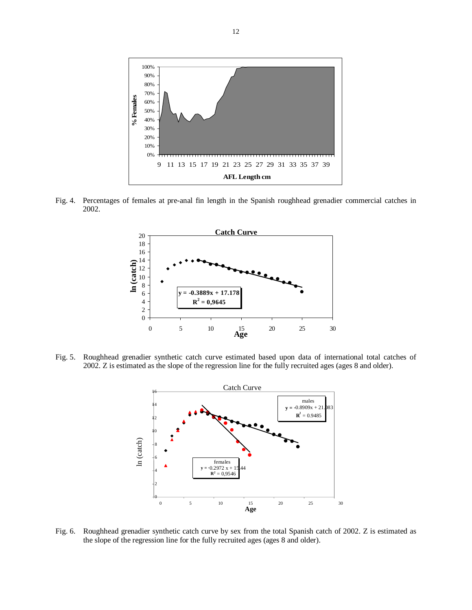

Fig. 4. Percentages of females at pre-anal fin length in the Spanish roughhead grenadier commercial catches in 2002.



Fig. 5. Roughhead grenadier synthetic catch curve estimated based upon data of international total catches of 2002. Z is estimated as the slope of the regression line for the fully recruited ages (ages 8 and older).



Fig. 6. Roughhead grenadier synthetic catch curve by sex from the total Spanish catch of 2002. Z is estimated as the slope of the regression line for the fully recruited ages (ages 8 and older).